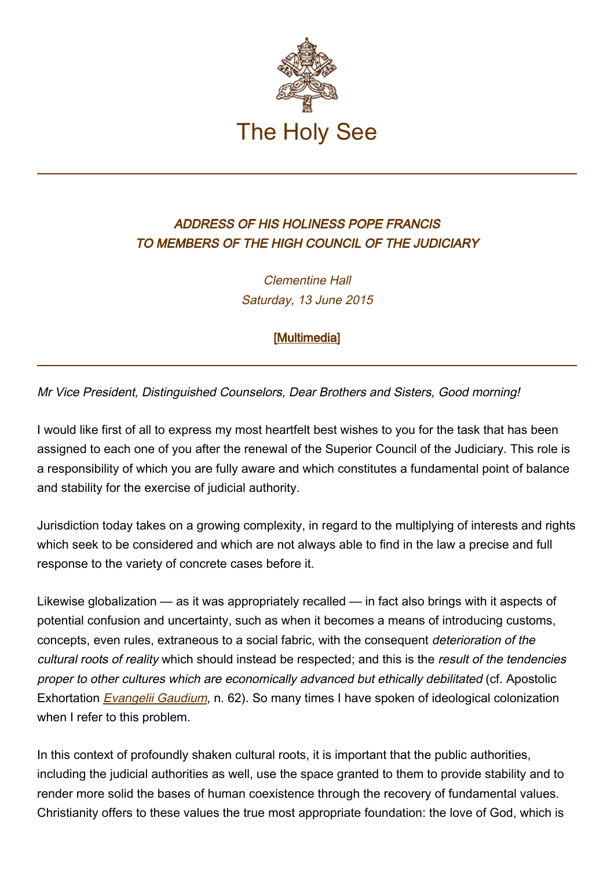

## ADDRESS OF HIS HOLINESS POPE FRANCIS TO MEMBERS OF THE HIGH COUNCIL OF THE JUDICIARY

Clementine Hall Saturday, 13 June 2015

[\[Multimedia](http://w2.vatican.va/content/francesco/en/events/event.dir.html/content/vaticanevents/en/2015/6/13/csm.html)]

Mr Vice President, Distinguished Counselors, Dear Brothers and Sisters, Good morning!

I would like first of all to express my most heartfelt best wishes to you for the task that has been assigned to each one of you after the renewal of the Superior Council of the Judiciary. This role is a responsibility of which you are fully aware and which constitutes a fundamental point of balance and stability for the exercise of judicial authority.

Jurisdiction today takes on a growing complexity, in regard to the multiplying of interests and rights which seek to be considered and which are not always able to find in the law a precise and full response to the variety of concrete cases before it.

Likewise globalization — as it was appropriately recalled — in fact also brings with it aspects of potential confusion and uncertainty, such as when it becomes a means of introducing customs, concepts, even rules, extraneous to a social fabric, with the consequent deterioration of the cultural roots of reality which should instead be respected; and this is the result of the tendencies proper to other cultures which are economically advanced but ethically debilitated (cf. Apostolic Exhortation **[Evangelii Gaudium](http://w2.vatican.va/content/francesco/en/apost_exhortations/documents/papa-francesco_esortazione-ap_20131124_evangelii-gaudium.html)**, n. 62). So many times I have spoken of ideological colonization when I refer to this problem.

In this context of profoundly shaken cultural roots, it is important that the public authorities, including the judicial authorities as well, use the space granted to them to provide stability and to render more solid the bases of human coexistence through the recovery of fundamental values. Christianity offers to these values the true most appropriate foundation: the love of God, which is